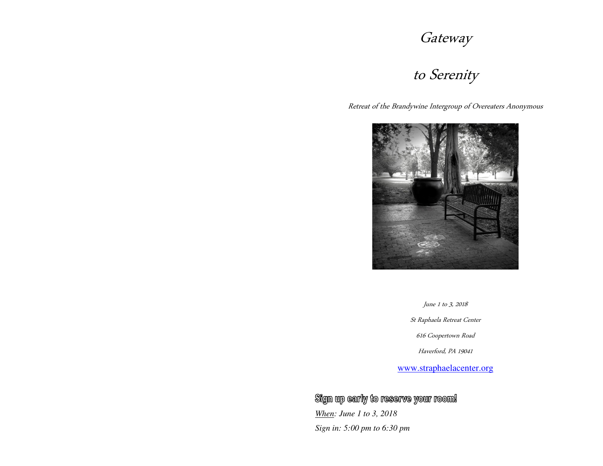# Gateway

## to Serenity

Retreat of the Brandywine Intergroup of Overeaters Anonymous



June 1 to 3, 2018

St Raphaela Retreat Center

616 Coopertown Road

Haverford, PA 19041

www.straphaelacenter.org

Sign up early to reserve your room!

*When: June 1 to 3, 2018Sign in: 5:00 pm to 6:30 pm*